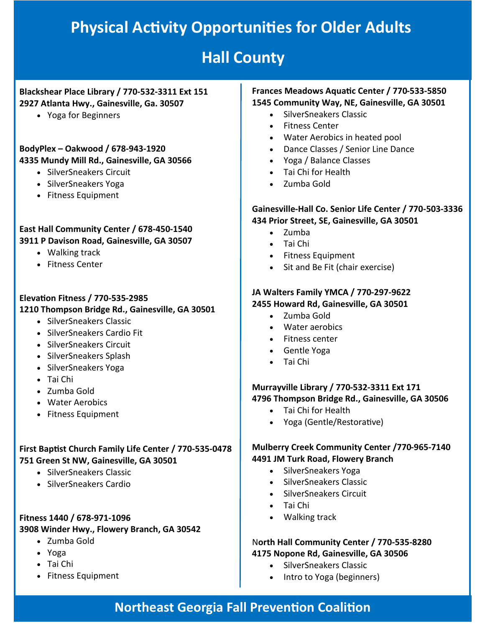## **Physical Activity Opportunities for Older Adults**

## **Hall County**

#### **Blackshear Place Library / 770-532-3311 Ext 151 2927 Atlanta Hwy., Gainesville, Ga. 30507**

• Yoga for Beginners

**BodyPlex – Oakwood / 678-943-1920 4335 Mundy Mill Rd., Gainesville, GA 30566**

- SilverSneakers Circuit
- SilverSneakers Yoga
- Fitness Equipment

#### **East Hall Community Center / 678-450-1540 3911 P Davison Road, Gainesville, GA 30507**

- Walking track
- Fitness Center

#### **Elevation Fitness / 770-535-2985**

#### **1210 Thompson Bridge Rd., Gainesville, GA 30501**

- SilverSneakers Classic
- SilverSneakers Cardio Fit
- SilverSneakers Circuit
- SilverSneakers Splash
- SilverSneakers Yoga
- Tai Chi
- Zumba Gold
- Water Aerobics
- Fitness Equipment

#### **First Baptist Church Family Life Center / 770-535-0478 751 Green St NW, Gainesville, GA 30501**

- SilverSneakers Classic
- SilverSneakers Cardio

#### **Fitness 1440 / 678-971-1096 3908 Winder Hwy., Flowery Branch, GA 30542**

- Zumba Gold
- Yoga
- Tai Chi
- Fitness Equipment

### **Frances Meadows Aquatic Center / 770-533-5850**

- **1545 Community Way, NE, Gainesville, GA 30501**
	- SilverSneakers Classic
	- Fitness Center
	- Water Aerobics in heated pool
	- Dance Classes / Senior Line Dance
	- Yoga / Balance Classes
	- Tai Chi for Health
	- Zumba Gold

#### **Gainesville-Hall Co. Senior Life Center / 770-503-3336 434 Prior Street, SE, Gainesville, GA 30501**

- Zumba
- Tai Chi
- Fitness Equipment
- Sit and Be Fit (chair exercise)

#### **JA Walters Family YMCA / 770-297-9622 2455 Howard Rd, Gainesville, GA 30501**

- Zumba Gold
- Water aerobics
- Fitness center
- Gentle Yoga
- Tai Chi

#### **Murrayville Library / 770-532-3311 Ext 171 4796 Thompson Bridge Rd., Gainesville, GA 30506**

- Tai Chi for Health
- Yoga (Gentle/Restorative)

#### **Mulberry Creek Community Center /770-965-7140 4491 JM Turk Road, Flowery Branch**

- SilverSneakers Yoga
- SilverSneakers Classic
- SilverSneakers Circuit
- Tai Chi
- Walking track

#### N**orth Hall Community Center / 770-535-8280 4175 Nopone Rd, Gainesville, GA 30506**

- SilverSneakers Classic
- Intro to Yoga (beginners)

## **Northeast Georgia Fall Prevention Coalition**